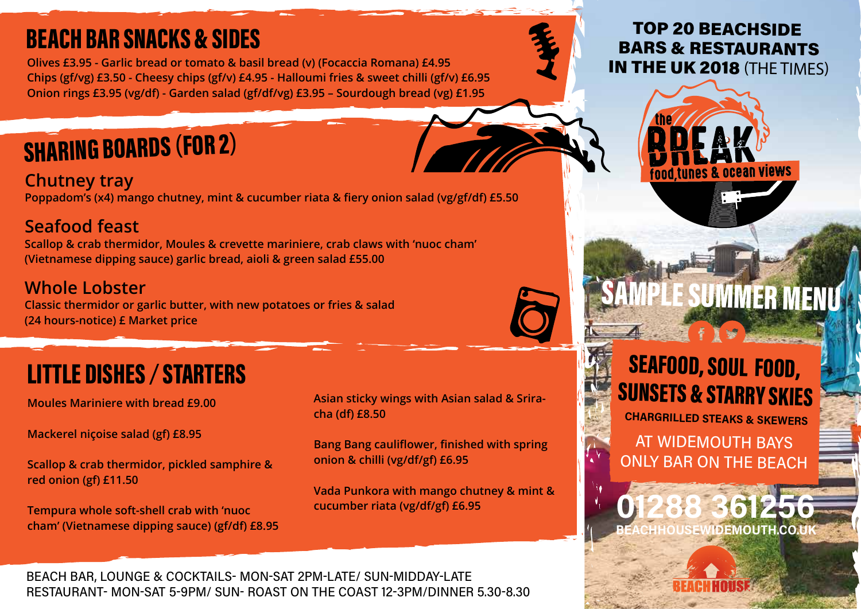## **BEACH BAR SNACKS & SIDES**

**Olives £3.95 - Garlic bread or tomato & basil bread (v) (Focaccia Romana) £4.95 Chips (gf/vg) £3.50 - Cheesy chips (gf/v) £4.95 - Halloumi fries & sweet chilli (gf/v) £6.95 Onion rings £3.95 (vg/df) - Garden salad (gf/df/vg) £3.95 – Sourdough bread (vg) £1.95**

# **SHARING BOARDS (FOR 2)**

**Chutney tray Poppadom's (x4) mango chutney, mint & cucumber riata & fiery onion salad (vg/gf/df) £5.50**

### **Seafood feast**

**Scallop & crab thermidor, Moules & crevette mariniere, crab claws with 'nuoc cham' (Vietnamese dipping sauce) garlic bread, aioli & green salad £55.00**

### **Whole Lobster**

**Classic thermidor or garlic butter, with new potatoes or fries & salad (24 hours-notice) £ Market price** 

### **LITTLE DISHES / STARTERS**

**Moules Mariniere with bread £9.00**

**Mackerel niçoise salad (gf) £8.95**

**Scallop & crab thermidor, pickled samphire & red onion (gf) £11.50**

**Tempura whole soft-shell crab with 'nuoc cham' (Vietnamese dipping sauce) (gf/df) £8.95** **Asian sticky wings with Asian salad & Sriracha (df) £8.50**

**Bang Bang cauliflower, finished with spring onion & chilli (vg/df/gf) £6.95**

**Vada Punkora with mango chutney & mint & cucumber riata (vg/df/gf) £6.95**

### **TOP 20 BEACHSIDE BARS & RESTAURANTS IN THE UK 2018 (THE TIMES)**





# **IPLE SUMMER MEN**

## **SEAFOOD, SOUL FOOD, SUNSETS & STARRY SKIES**

**CHARGRILLED STEAKS & SKEWERS** 

**AT WIDEMOUTH BAYS ONLY BAR ON THE BEACH** 



BEACH BAR, LOUNGE & COCKTAILS- MON-SAT 2PM-LATE/ SUN-MIDDAY-LATE RESTAURANT- MON-SAT 5-9PM/ SUN- ROAST ON THE COAST 12-3PM/DINNER 5.30-8.30